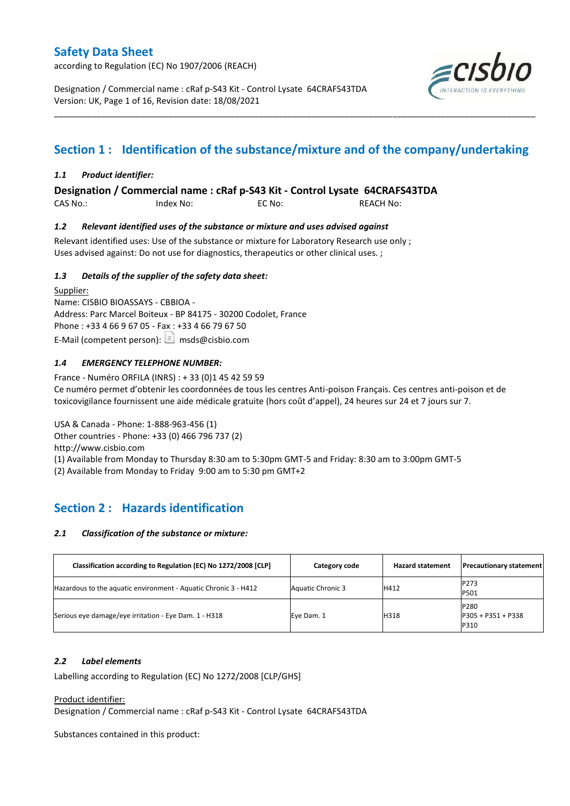according to Regulation (EC) No 1907/2006 (REACH)

Designation / Commercial name : cRaf p-S43 Kit - Control Lysate 64CRAFS43TDA Version: UK, Page 1 of 16, Revision date: 18/08/2021



## **Section 1 : Identification of the substance/mixture and of the company/undertaking**

\_\_\_\_\_\_\_\_\_\_\_\_\_\_\_\_\_\_\_\_\_\_\_\_\_\_\_\_\_\_\_\_\_\_\_\_\_\_\_\_\_\_\_\_\_\_\_\_\_\_\_\_\_\_\_\_\_\_\_\_\_\_\_\_\_\_\_\_\_\_\_\_\_\_\_\_\_\_\_\_\_\_\_\_\_\_\_\_\_\_\_\_\_\_\_\_\_\_\_\_\_

#### *1.1 Product identifier:*

**Designation / Commercial name : cRaf p-S43 Kit - Control Lysate 64CRAFS43TDA** 

CAS No.: Index No: EC No: REACH No:

#### *1.2 Relevant identified uses of the substance or mixture and uses advised against*

Relevant identified uses: Use of the substance or mixture for Laboratory Research use only ; Uses advised against: Do not use for diagnostics, therapeutics or other clinical uses. ;

#### *1.3 Details of the supplier of the safety data sheet:*

Supplier: Name: CISBIO BIOASSAYS - CBBIOA - Address: Parc Marcel Boiteux - BP 84175 - 30200 Codolet, France Phone : +33 4 66 9 67 05 - Fax : +33 4 66 79 67 50 E-Mail (competent person):  $\boxed{\equiv}$  msds@cisbio.com

#### *1.4 EMERGENCY TELEPHONE NUMBER:*

France - Numéro ORFILA (INRS) : + 33 (0)1 45 42 59 59 Ce numéro permet d'obtenir les coordonnées de tous les centres Anti-poison Français. Ces centres anti-poison et de toxicovigilance fournissent une aide médicale gratuite (hors coût d'appel), 24 heures sur 24 et 7 jours sur 7.

USA & Canada - Phone: 1-888-963-456 (1) Other countries - Phone: +33 (0) 466 796 737 (2) http://www.cisbio.com (1) Available from Monday to Thursday 8:30 am to 5:30pm GMT-5 and Friday: 8:30 am to 3:00pm GMT-5

(2) Available from Monday to Friday 9:00 am to 5:30 pm GMT+2

## **Section 2 : Hazards identification**

#### *2.1 Classification of the substance or mixture:*

| Classification according to Regulation (EC) No 1272/2008 [CLP]  | Category code     | <b>Hazard statement</b> | <b>Precautionary statement</b>              |
|-----------------------------------------------------------------|-------------------|-------------------------|---------------------------------------------|
| Hazardous to the aquatic environment - Aquatic Chronic 3 - H412 | Aquatic Chronic 3 | H412                    | P273<br>P501                                |
| Serious eye damage/eye irritation - Eye Dam. 1 - H318           | Eye Dam. 1        | H318                    | <b>P280</b><br>$P305 + P351 + P338$<br>P310 |

#### *2.2 Label elements*

Labelling according to Regulation (EC) No 1272/2008 [CLP/GHS]

Product identifier:

Designation / Commercial name : cRaf p-S43 Kit - Control Lysate 64CRAFS43TDA

Substances contained in this product: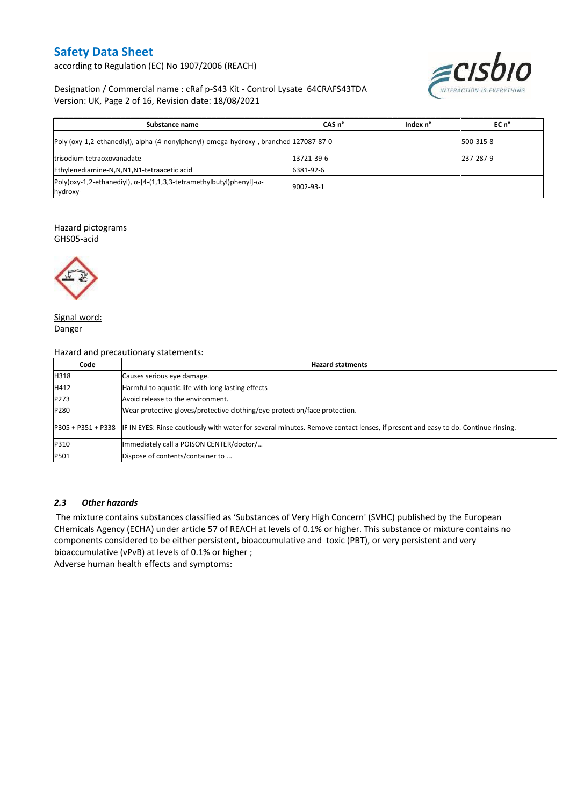according to Regulation (EC) No 1907/2006 (REACH)



#### Designation / Commercial name : cRaf p-S43 Kit - Control Lysate 64CRAFS43TDA Version: UK, Page 2 of 16, Revision date: 18/08/2021

| Substance name                                                                                   | CAS <sub>n</sub> ° | Index n° | $ECn$ <sup>°</sup> |
|--------------------------------------------------------------------------------------------------|--------------------|----------|--------------------|
| Poly (oxy-1,2-ethanediyl), alpha-(4-nonylphenyl)-omega-hydroxy-, branched 127087-87-0            |                    |          | 500-315-8          |
| trisodium tetraoxovanadate                                                                       | 13721-39-6         |          | 237-287-9          |
| Ethylenediamine-N,N,N1,N1-tetraacetic acid                                                       | 6381-92-6          |          |                    |
| Poly(oxy-1,2-ethanediyl), $\alpha$ -[4-(1,1,3,3-tetramethylbutyl)phenyl]- $\omega$ -<br>hydroxy- | 9002-93-1          |          |                    |

#### Hazard pictograms

GHS05-acid



Signal word: Danger

Hazard and precautionary statements:

| Code | <b>Hazard statments</b>                                                                                                                             |
|------|-----------------------------------------------------------------------------------------------------------------------------------------------------|
| H318 | Causes serious eye damage.                                                                                                                          |
| H412 | Harmful to aquatic life with long lasting effects                                                                                                   |
| P273 | Avoid release to the environment.                                                                                                                   |
| P280 | Wear protective gloves/protective clothing/eye protection/face protection.                                                                          |
|      | P305 + P351 + P338 IF IN EYES: Rinse cautiously with water for several minutes. Remove contact lenses, if present and easy to do. Continue rinsing. |
| P310 | Immediately call a POISON CENTER/doctor/                                                                                                            |
| P501 | Dispose of contents/container to                                                                                                                    |

#### *2.3 Other hazards*

The mixture contains substances classified as 'Substances of Very High Concern' (SVHC) published by the European CHemicals Agency (ECHA) under article 57 of REACH at levels of 0.1% or higher. This substance or mixture contains no components considered to be either persistent, bioaccumulative and toxic (PBT), or very persistent and very bioaccumulative (vPvB) at levels of 0.1% or higher ;

Adverse human health effects and symptoms: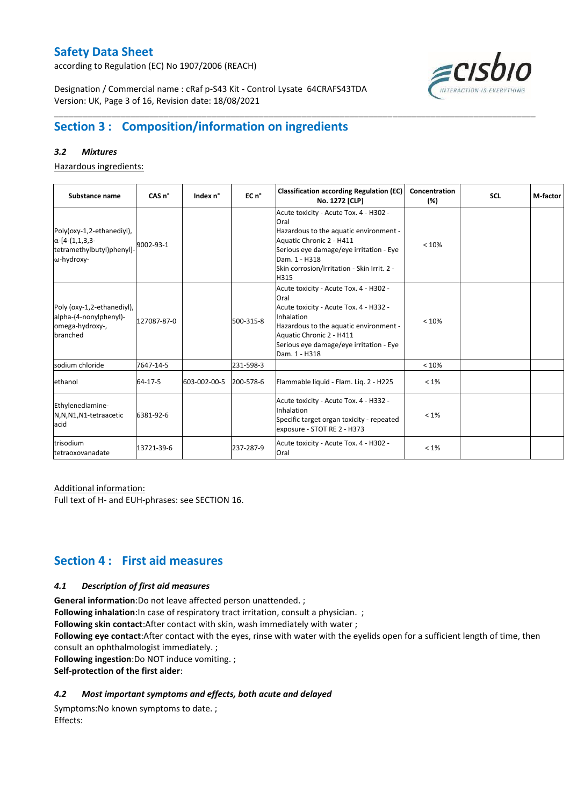according to Regulation (EC) No 1907/2006 (REACH)



Designation / Commercial name : cRaf p-S43 Kit - Control Lysate 64CRAFS43TDA Version: UK, Page 3 of 16, Revision date: 18/08/2021

## **Section 3 : Composition/information on ingredients**

#### *3.2 Mixtures*

Hazardous ingredients:

| Substance name                                                                                 | CAS <sub>n</sub> ° | Index n°     | EC n <sup>o</sup> | <b>Classification according Regulation (EC)</b><br>No. 1272 [CLP]                                                                                                                                                                        | Concentration<br>(%) | <b>SCL</b> | M-factor |
|------------------------------------------------------------------------------------------------|--------------------|--------------|-------------------|------------------------------------------------------------------------------------------------------------------------------------------------------------------------------------------------------------------------------------------|----------------------|------------|----------|
| Poly(oxy-1,2-ethanediyl),<br>$\alpha$ -[4-(1,1,3,3-<br>tetramethylbutyl)phenyl]-<br>ω-hydroxy- | 9002-93-1          |              |                   | Acute toxicity - Acute Tox. 4 - H302 -<br>Oral<br>Hazardous to the aquatic environment -<br>Aquatic Chronic 2 - H411<br>Serious eye damage/eye irritation - Eye<br>Dam. 1 - H318<br>Skin corrosion/irritation - Skin Irrit. 2 -<br>H315  | < 10%                |            |          |
| Poly (oxy-1,2-ethanediyl),<br>alpha-(4-nonylphenyl)-<br>omega-hydroxy-,<br>branched            | 127087-87-0        |              | 500-315-8         | Acute toxicity - Acute Tox. 4 - H302 -<br>Oral<br>Acute toxicity - Acute Tox. 4 - H332 -<br>Inhalation<br>Hazardous to the aquatic environment -<br>Aquatic Chronic 2 - H411<br>Serious eye damage/eye irritation - Eye<br>Dam. 1 - H318 | < 10%                |            |          |
| sodium chloride                                                                                | 7647-14-5          |              | 231-598-3         |                                                                                                                                                                                                                                          | < 10%                |            |          |
| ethanol                                                                                        | 64-17-5            | 603-002-00-5 | 200-578-6         | Flammable liquid - Flam. Lig. 2 - H225                                                                                                                                                                                                   | $< 1\%$              |            |          |
| Ethylenediamine-<br>N,N,N1,N1-tetraacetic<br>acid                                              | 6381-92-6          |              |                   | Acute toxicity - Acute Tox. 4 - H332 -<br>Inhalation<br>Specific target organ toxicity - repeated<br>exposure - STOT RE 2 - H373                                                                                                         | $< 1\%$              |            |          |
| trisodium<br>tetraoxovanadate                                                                  | 13721-39-6         |              | 237-287-9         | Acute toxicity - Acute Tox. 4 - H302 -<br>Oral                                                                                                                                                                                           | $< 1\%$              |            |          |

\_\_\_\_\_\_\_\_\_\_\_\_\_\_\_\_\_\_\_\_\_\_\_\_\_\_\_\_\_\_\_\_\_\_\_\_\_\_\_\_\_\_\_\_\_\_\_\_\_\_\_\_\_\_\_\_\_\_\_\_\_\_\_\_\_\_\_\_\_\_\_\_\_\_\_\_\_\_\_\_\_\_\_\_\_\_\_\_\_\_\_\_\_\_\_\_\_\_\_\_\_

#### Additional information:

Full text of H- and EUH-phrases: see SECTION 16.

## **Section 4 : First aid measures**

#### *4.1 Description of first aid measures*

**General information**:Do not leave affected person unattended. ;

**Following inhalation**: In case of respiratory tract irritation, consult a physician. ;

**Following skin contact**:After contact with skin, wash immediately with water ;

**Following eye contact**:After contact with the eyes, rinse with water with the eyelids open for a sufficient length of time, then consult an ophthalmologist immediately. ;

**Following ingestion**:Do NOT induce vomiting. ;

**Self-protection of the first aider**:

#### *4.2 Most important symptoms and effects, both acute and delayed*

Symptoms:No known symptoms to date. ; Effects: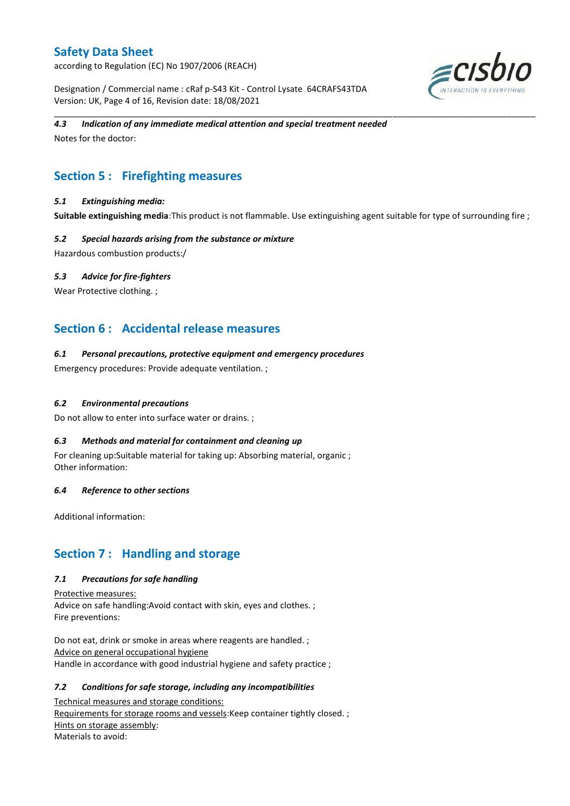according to Regulation (EC) No 1907/2006 (REACH)

Designation / Commercial name : cRaf p-S43 Kit - Control Lysate 64CRAFS43TDA Version: UK, Page 4 of 16, Revision date: 18/08/2021



#### *4.3 Indication of any immediate medical attention and special treatment needed*

Notes for the doctor:

## **Section 5 : Firefighting measures**

#### *5.1 Extinguishing media:*

**Suitable extinguishing media**:This product is not flammable. Use extinguishing agent suitable for type of surrounding fire ;

\_\_\_\_\_\_\_\_\_\_\_\_\_\_\_\_\_\_\_\_\_\_\_\_\_\_\_\_\_\_\_\_\_\_\_\_\_\_\_\_\_\_\_\_\_\_\_\_\_\_\_\_\_\_\_\_\_\_\_\_\_\_\_\_\_\_\_\_\_\_\_\_\_\_\_\_\_\_\_\_\_\_\_\_\_\_\_\_\_\_\_\_\_\_\_\_\_\_\_\_\_

#### *5.2 Special hazards arising from the substance or mixture*

Hazardous combustion products:/

#### *5.3 Advice for fire-fighters*

Wear Protective clothing.;

## **Section 6 : Accidental release measures**

#### *6.1 Personal precautions, protective equipment and emergency procedures*

Emergency procedures: Provide adequate ventilation. ;

#### *6.2 Environmental precautions*

Do not allow to enter into surface water or drains. ;

#### *6.3 Methods and material for containment and cleaning up*

For cleaning up:Suitable material for taking up: Absorbing material, organic ; Other information:

#### *6.4 Reference to other sections*

Additional information:

## **Section 7 : Handling and storage**

#### *7.1 Precautions for safe handling*

Protective measures: Advice on safe handling:Avoid contact with skin, eyes and clothes. ; Fire preventions:

Do not eat, drink or smoke in areas where reagents are handled. ; Advice on general occupational hygiene Handle in accordance with good industrial hygiene and safety practice ;

#### *7.2 Conditions for safe storage, including any incompatibilities*

Technical measures and storage conditions: Requirements for storage rooms and vessels: Keep container tightly closed. ; Hints on storage assembly: Materials to avoid: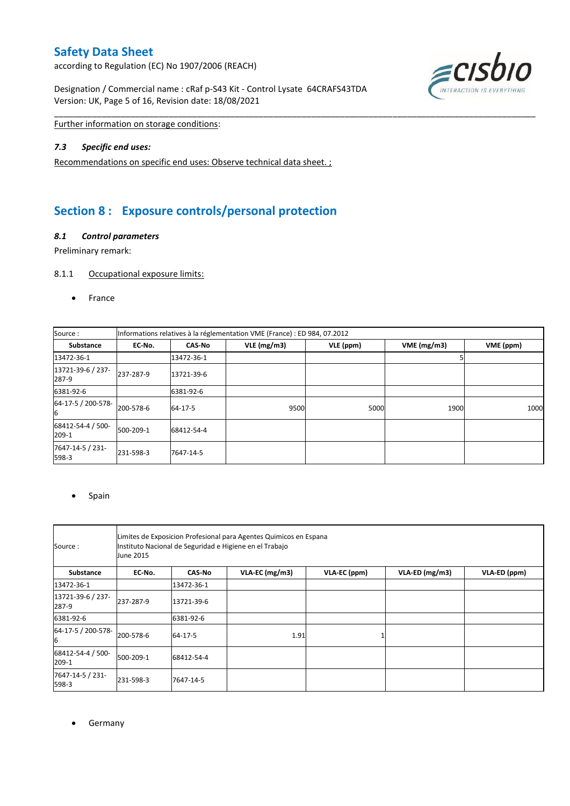according to Regulation (EC) No 1907/2006 (REACH)

Designation / Commercial name : cRaf p-S43 Kit - Control Lysate 64CRAFS43TDA Version: UK, Page 5 of 16, Revision date: 18/08/2021



Further information on storage conditions:

#### *7.3 Specific end uses:*

Recommendations on specific end uses: Observe technical data sheet. ;

## **Section 8 : Exposure controls/personal protection**

#### *8.1 Control parameters*

Preliminary remark:

#### 8.1.1 Occupational exposure limits:

• France

| Source:                    | Informations relatives à la réglementation VME (France) : ED 984, 07.2012 |               |            |           |            |           |
|----------------------------|---------------------------------------------------------------------------|---------------|------------|-----------|------------|-----------|
| <b>Substance</b>           | EC No.                                                                    | <b>CAS-No</b> | VLE(mg/m3) | VLE (ppm) | VME(mg/m3) | VME (ppm) |
| 13472-36-1                 |                                                                           | 13472-36-1    |            |           |            |           |
| 13721-39-6 / 237-<br>287-9 | 237-287-9                                                                 | 13721-39-6    |            |           |            |           |
| 6381-92-6                  |                                                                           | 6381-92-6     |            |           |            |           |
| 64-17-5 / 200-578-<br>6    | 200-578-6                                                                 | 64-17-5       | 9500       | 5000      | 1900       | 1000      |
| 68412-54-4 / 500-<br>209-1 | 500-209-1                                                                 | 68412-54-4    |            |           |            |           |
| 7647-14-5 / 231-<br>598-3  | 231-598-3                                                                 | 7647-14-5     |            |           |            |           |

\_\_\_\_\_\_\_\_\_\_\_\_\_\_\_\_\_\_\_\_\_\_\_\_\_\_\_\_\_\_\_\_\_\_\_\_\_\_\_\_\_\_\_\_\_\_\_\_\_\_\_\_\_\_\_\_\_\_\_\_\_\_\_\_\_\_\_\_\_\_\_\_\_\_\_\_\_\_\_\_\_\_\_\_\_\_\_\_\_\_\_\_\_\_\_\_\_\_\_\_\_

#### • Spain

| Source:                    | Limites de Exposicion Profesional para Agentes Quimicos en Espana<br>Instituto Nacional de Seguridad e Higiene en el Trabajo<br>June 2015 |               |                |              |                |              |  |
|----------------------------|-------------------------------------------------------------------------------------------------------------------------------------------|---------------|----------------|--------------|----------------|--------------|--|
| Substance                  | EC-No.                                                                                                                                    | <b>CAS-No</b> | VLA-EC (mg/m3) | VLA-EC (ppm) | VLA-ED (mg/m3) | VLA-ED (ppm) |  |
| 13472-36-1                 |                                                                                                                                           | 13472-36-1    |                |              |                |              |  |
| 13721-39-6 / 237-<br>287-9 | 237-287-9                                                                                                                                 | 13721-39-6    |                |              |                |              |  |
| 6381-92-6                  |                                                                                                                                           | 6381-92-6     |                |              |                |              |  |
| 64-17-5 / 200-578-<br>6    | 200-578-6                                                                                                                                 | 64-17-5       | 1.91           |              |                |              |  |
| 68412-54-4 / 500-<br>209-1 | 500-209-1                                                                                                                                 | 68412-54-4    |                |              |                |              |  |
| 7647-14-5 / 231-<br>598-3  | 231-598-3                                                                                                                                 | 7647-14-5     |                |              |                |              |  |

**•** Germany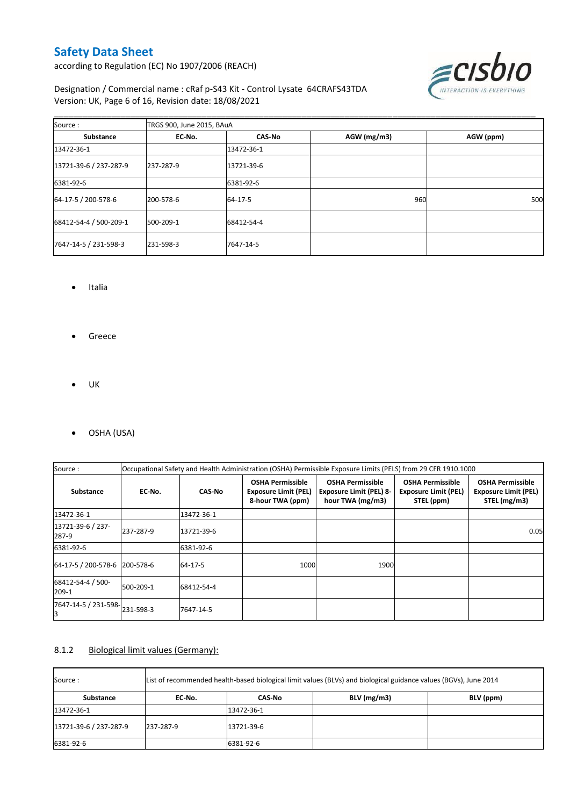according to Regulation (EC) No 1907/2006 (REACH)



#### Designation / Commercial name : cRaf p-S43 Kit - Control Lysate 64CRAFS43TDA Version: UK, Page 6 of 16, Revision date: 18/08/2021

| Source:                | TRGS 900, June 2015, BAuA |               |             |           |  |  |  |
|------------------------|---------------------------|---------------|-------------|-----------|--|--|--|
| Substance              | EC-No.                    | <b>CAS-No</b> | AGW (mg/m3) | AGW (ppm) |  |  |  |
| 13472-36-1             |                           | 13472-36-1    |             |           |  |  |  |
| 13721-39-6 / 237-287-9 | 237-287-9                 | 13721-39-6    |             |           |  |  |  |
| 6381-92-6              |                           | 6381-92-6     |             |           |  |  |  |
| 64-17-5 / 200-578-6    | 200-578-6                 | 64-17-5       | 960         | 500       |  |  |  |
| 68412-54-4 / 500-209-1 | 500-209-1                 | 68412-54-4    |             |           |  |  |  |
| 7647-14-5 / 231-598-3  | 231-598-3                 | 7647-14-5     |             |           |  |  |  |

\_\_\_\_\_\_\_\_\_\_\_\_\_\_\_\_\_\_\_\_\_\_\_\_\_\_\_\_\_\_\_\_\_\_\_\_\_\_\_\_\_\_\_\_\_\_\_\_\_\_\_\_\_\_\_\_\_\_\_\_\_\_\_\_\_\_\_\_\_\_\_\_\_\_\_\_\_\_\_\_\_\_\_\_\_\_\_\_\_\_\_\_\_\_\_\_\_\_\_\_\_

- Italia
- **•** Greece
- $\bullet$  UK
- OSHA (USA)

| Source:                             | Occupational Safety and Health Administration (OSHA) Permissible Exposure Limits (PELS) from 29 CFR 1910.1000 |               |                                                                            |                                                                               |                                                                      |                                                                        |
|-------------------------------------|---------------------------------------------------------------------------------------------------------------|---------------|----------------------------------------------------------------------------|-------------------------------------------------------------------------------|----------------------------------------------------------------------|------------------------------------------------------------------------|
| <b>Substance</b>                    | EC-No.                                                                                                        | <b>CAS-No</b> | <b>OSHA Permissible</b><br><b>Exposure Limit (PEL)</b><br>8-hour TWA (ppm) | <b>OSHA Permissible</b><br><b>Exposure Limit (PEL) 8-</b><br>hour TWA (mg/m3) | <b>OSHA Permissible</b><br><b>Exposure Limit (PEL)</b><br>STEL (ppm) | <b>OSHA Permissible</b><br><b>Exposure Limit (PEL)</b><br>STEL (mg/m3) |
| 13472-36-1                          |                                                                                                               | 13472-36-1    |                                                                            |                                                                               |                                                                      |                                                                        |
| 13721-39-6 / 237-<br>287-9          | 237-287-9                                                                                                     | 13721-39-6    |                                                                            |                                                                               |                                                                      | 0.05                                                                   |
| 6381-92-6                           |                                                                                                               | 6381-92-6     |                                                                            |                                                                               |                                                                      |                                                                        |
| 64-17-5 / 200-578-6   200-578-6     |                                                                                                               | 64-17-5       | 1000                                                                       | 1900                                                                          |                                                                      |                                                                        |
| 68412-54-4 / 500-<br>209-1          | 500-209-1                                                                                                     | 68412-54-4    |                                                                            |                                                                               |                                                                      |                                                                        |
| 7647-14-5 / 231-598-231-598-3<br>IЗ |                                                                                                               | 7647-14-5     |                                                                            |                                                                               |                                                                      |                                                                        |

#### 8.1.2 Biological limit values (Germany):

| List of recommended health-based biological limit values (BLVs) and biological guidance values (BGVs), June 2014<br>Source : |           |            |               |           |  |
|------------------------------------------------------------------------------------------------------------------------------|-----------|------------|---------------|-----------|--|
| Substance                                                                                                                    | EC No.    | CAS No     | $BLV$ (mg/m3) | BLV (ppm) |  |
| 13472-36-1                                                                                                                   |           | 13472-36-1 |               |           |  |
| 13721-39-6 / 237-287-9                                                                                                       | 237-287-9 | 13721-39-6 |               |           |  |
| 6381-92-6                                                                                                                    |           | 6381-92-6  |               |           |  |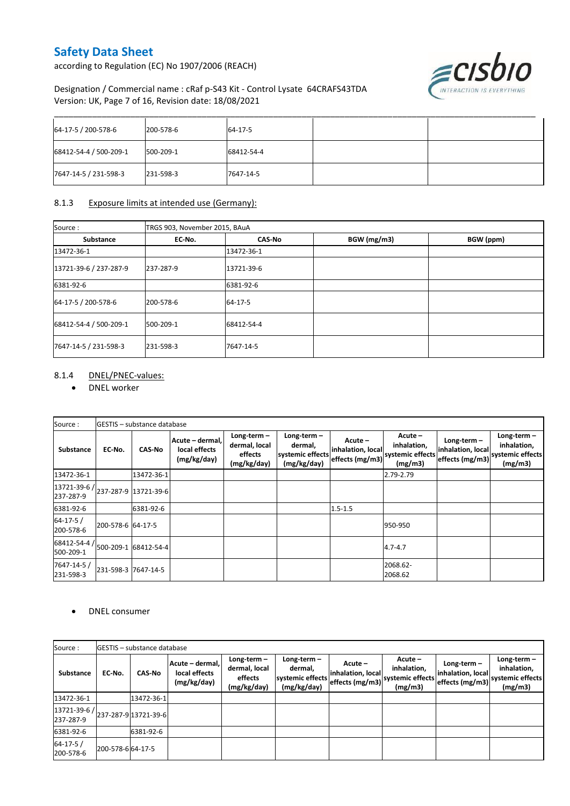according to Regulation (EC) No 1907/2006 (REACH)



#### Designation / Commercial name : cRaf p-S43 Kit - Control Lysate 64CRAFS43TDA Version: UK, Page 7 of 16, Revision date: 18/08/2021

| 64-17-5 / 200-578-6    | 200-578-6 | 64-17-5    |  |
|------------------------|-----------|------------|--|
| 68412-54-4 / 500-209-1 | 500-209-1 | 68412-54-4 |  |
| 7647-14-5 / 231-598-3  | 231-598-3 | 7647-14-5  |  |

#### 8.1.3 Exposure limits at intended use (Germany):

| Source:                | TRGS 903, November 2015, BAuA |               |             |           |  |  |
|------------------------|-------------------------------|---------------|-------------|-----------|--|--|
| Substance              | EC-No.                        | <b>CAS-No</b> | BGW (mg/m3) | BGW (ppm) |  |  |
| 13472-36-1             |                               | 13472-36-1    |             |           |  |  |
| 13721-39-6 / 237-287-9 | 237-287-9                     | 13721-39-6    |             |           |  |  |
| 6381-92-6              |                               | 6381-92-6     |             |           |  |  |
| 64-17-5 / 200-578-6    | 200-578-6                     | 64-17-5       |             |           |  |  |
| 68412-54-4 / 500-209-1 | 500-209-1                     | 68412-54-4    |             |           |  |  |
| 7647-14-5 / 231-598-3  | 231-598-3                     | 7647-14-5     |             |           |  |  |

#### 8.1.4 DNEL/PNEC-values:

DNEL worker

| Source:                                                                                                                  |                   | GESTIS - substance database |                                                 |                                                          |                                                             |                                                   |                                                      |                                                                        |                                         |
|--------------------------------------------------------------------------------------------------------------------------|-------------------|-----------------------------|-------------------------------------------------|----------------------------------------------------------|-------------------------------------------------------------|---------------------------------------------------|------------------------------------------------------|------------------------------------------------------------------------|-----------------------------------------|
| Substance                                                                                                                | EC No.            | <b>CAS-No</b>               | Acute - dermal,<br>local effects<br>(mg/kg/day) | Long-term $-$<br>dermal, local<br>effects<br>(mg/kg/day) | Long-term $-$<br>dermal,<br>systemic effects<br>(mg/kg/day) | $Acute -$<br>inhalation, local<br>effects (mg/m3) | Acute-<br>inhalation,<br>systemic effects<br>(mg/m3) | Long-term $-$<br>inhalation, local<br>effects (mg/m3) systemic effects | Long-term $-$<br>inhalation,<br>(mg/m3) |
| 13472-36-1                                                                                                               |                   | 13472-36-1                  |                                                 |                                                          |                                                             |                                                   | 2.79-2.79                                            |                                                                        |                                         |
| $\left[ \frac{13721 - 39 - 6}{237 - 287 - 9} \right]$ $\left[ \frac{13721 - 39 - 6}{237 - 287 - 9} \right]$<br>237-287-9 |                   |                             |                                                 |                                                          |                                                             |                                                   |                                                      |                                                                        |                                         |
| 6381-92-6                                                                                                                |                   | 6381-92-6                   |                                                 |                                                          |                                                             | $1.5 - 1.5$                                       |                                                      |                                                                        |                                         |
| $64 - 17 - 5/$<br>200-578-6                                                                                              | 200-578-6 64-17-5 |                             |                                                 |                                                          |                                                             |                                                   | 950-950                                              |                                                                        |                                         |
| 68412-54-4 /<br>500-209-1                                                                                                |                   | 500-209-1 68412-54-4        |                                                 |                                                          |                                                             |                                                   | $4.7 - 4.7$                                          |                                                                        |                                         |
| 7647-14-5 /<br>231-598-3                                                                                                 |                   | 231-598-3 7647-14-5         |                                                 |                                                          |                                                             |                                                   | 2068.62-<br>2068.62                                  |                                                                        |                                         |

#### DNEL consumer

| Source:                                          |                  | <b>GESTIS</b> - substance database |                                                 |                                                          |                                                             |                                                   |                                                       |                                                     |                                                             |
|--------------------------------------------------|------------------|------------------------------------|-------------------------------------------------|----------------------------------------------------------|-------------------------------------------------------------|---------------------------------------------------|-------------------------------------------------------|-----------------------------------------------------|-------------------------------------------------------------|
| <b>Substance</b>                                 | EC-No.           | <b>CAS-No</b>                      | Acute - dermal,<br>local effects<br>(mg/kg/day) | Long-term $-$<br>dermal, local<br>effects<br>(mg/kg/day) | Long-term $-$<br>dermal.<br>systemic effects<br>(mg/kg/day) | $Acute -$<br>inhalation, local<br>effects (mg/m3) | Acute -<br>inhalation,<br>systemic effects<br>(mg/m3) | Long-term -<br>inhalation, local<br>effects (mg/m3) | Long-term $-$<br>inhalation,<br>systemic effects<br>(mg/m3) |
| 13472-36-1                                       |                  | 13472-36-1                         |                                                 |                                                          |                                                             |                                                   |                                                       |                                                     |                                                             |
| $ 13721-39-6/237-287-9 13721-39-6 $<br>237-287-9 |                  |                                    |                                                 |                                                          |                                                             |                                                   |                                                       |                                                     |                                                             |
| 6381-92-6                                        |                  | 6381-92-6                          |                                                 |                                                          |                                                             |                                                   |                                                       |                                                     |                                                             |
| $64 - 17 - 5/$<br>200-578-6                      | 200-578-664-17-5 |                                    |                                                 |                                                          |                                                             |                                                   |                                                       |                                                     |                                                             |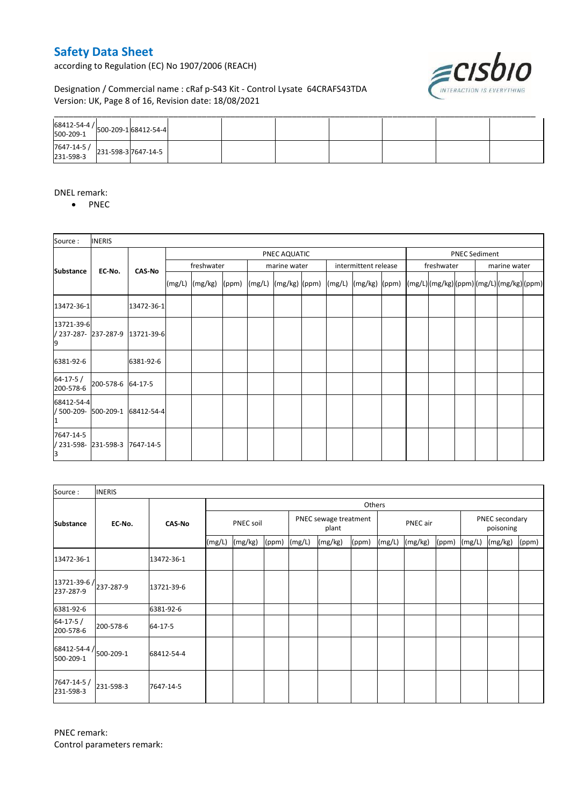according to Regulation (EC) No 1907/2006 (REACH)



#### Designation / Commercial name : cRaf p-S43 Kit - Control Lysate 64CRAFS43TDA Version: UK, Page 8 of 16, Revision date: 18/08/2021

| $\begin{array}{ c c c c c }\n 7647 - 14 - 5 & 231 - 598 - 3 & 7647 - 14 - 5 & 231 - 598 - 3 & 7647 - 14 - 5 & 231 - 598 - 3 & 7647 - 14 - 5 & 311 - 598 - 3 & 7647 - 14 & 566 \end{array}$ |  |  |  |  |  |
|--------------------------------------------------------------------------------------------------------------------------------------------------------------------------------------------|--|--|--|--|--|

#### DNEL remark:

• PNEC

| Source:                       | <b>INERIS</b>       |                                 |                    |  |  |              |  |  |                                                                                                                                                                           |  |                      |  |  |              |  |
|-------------------------------|---------------------|---------------------------------|--------------------|--|--|--------------|--|--|---------------------------------------------------------------------------------------------------------------------------------------------------------------------------|--|----------------------|--|--|--------------|--|
|                               |                     |                                 | PNEC AQUATIC       |  |  |              |  |  |                                                                                                                                                                           |  | <b>PNEC Sediment</b> |  |  |              |  |
| <b>Substance</b>              | EC-No.              | <b>CAS-No</b>                   | freshwater         |  |  | marine water |  |  | intermittent release                                                                                                                                                      |  | freshwater           |  |  | marine water |  |
|                               |                     |                                 | $(mg/L)$ $(mg/kg)$ |  |  |              |  |  | $\vert (ppm) \vert (mg/L) \vert (mg/kg) \vert (ppm) \vert (mg/L) \vert (mg/kg) \vert (ppm) \vert (mg/L) \vert (mg/kg) \vert (ppm) \vert (mg/L) \vert (mg/kg) \vert (ppm)$ |  |                      |  |  |              |  |
| 13472-36-1                    |                     | 13472-36-1                      |                    |  |  |              |  |  |                                                                                                                                                                           |  |                      |  |  |              |  |
| 13721-39-6                    |                     | / 237-287- 237-287-9 13721-39-6 |                    |  |  |              |  |  |                                                                                                                                                                           |  |                      |  |  |              |  |
| 6381-92-6                     |                     | 6381-92-6                       |                    |  |  |              |  |  |                                                                                                                                                                           |  |                      |  |  |              |  |
| $64 - 17 - 5/$<br>200-578-6   | 200-578-6 64-17-5   |                                 |                    |  |  |              |  |  |                                                                                                                                                                           |  |                      |  |  |              |  |
| 68412-54-4<br>/ 500-209-      | 500-209-1           | 68412-54-4                      |                    |  |  |              |  |  |                                                                                                                                                                           |  |                      |  |  |              |  |
| 7647-14-5<br>/ 231-598-<br>IЗ | 231-598-3 7647-14-5 |                                 |                    |  |  |              |  |  |                                                                                                                                                                           |  |                      |  |  |              |  |

| Source:                                         | <b>INERIS</b> |               |        |           |       |        |                                |       |        |          |       |        |                             |       |  |
|-------------------------------------------------|---------------|---------------|--------|-----------|-------|--------|--------------------------------|-------|--------|----------|-------|--------|-----------------------------|-------|--|
|                                                 |               |               |        | Others    |       |        |                                |       |        |          |       |        |                             |       |  |
| <b>Substance</b>                                | EC No.        | <b>CAS-No</b> |        | PNEC soil |       |        | PNEC sewage treatment<br>plant |       |        | PNEC air |       |        | PNEC secondary<br>poisoning |       |  |
|                                                 |               |               | (mg/L) | (mg/kg)   | (ppm) | (mg/L) | (mg/kg)                        | (ppm) | (mg/L) | (mg/kg)  | (ppm) | (mg/L) | (mg/kg)                     | (ppm) |  |
| 13472-36-1                                      |               | 13472-36-1    |        |           |       |        |                                |       |        |          |       |        |                             |       |  |
| $13721 - 39 - 6$ / $237 - 287 - 9$<br>237-287-9 |               | 13721-39-6    |        |           |       |        |                                |       |        |          |       |        |                             |       |  |
| 6381-92-6                                       |               | 6381-92-6     |        |           |       |        |                                |       |        |          |       |        |                             |       |  |
| $64 - 17 - 5/$<br>200-578-6                     | 200-578-6     | 64-17-5       |        |           |       |        |                                |       |        |          |       |        |                             |       |  |
| $68412 - 54 - 4$ / $500 - 209 - 1$<br>500-209-1 |               | 68412-54-4    |        |           |       |        |                                |       |        |          |       |        |                             |       |  |
| 7647-14-5 /<br>231-598-3                        | 231-598-3     | 7647-14-5     |        |           |       |        |                                |       |        |          |       |        |                             |       |  |

PNEC remark: Control parameters remark: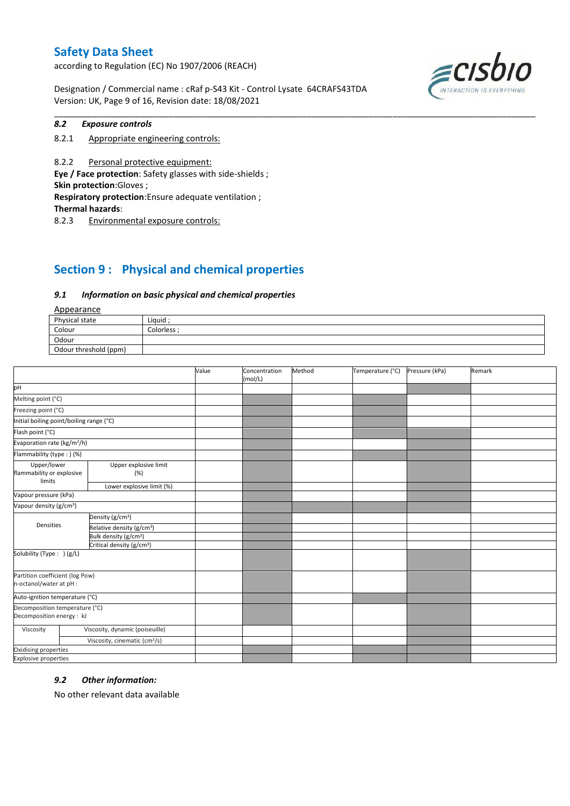according to Regulation (EC) No 1907/2006 (REACH)

Designation / Commercial name : cRaf p-S43 Kit - Control Lysate 64CRAFS43TDA Version: UK, Page 9 of 16, Revision date: 18/08/2021



#### *8.2 Exposure controls*

8.2.1 Appropriate engineering controls:

8.2.2 Personal protective equipment: **Eye / Face protection**: Safety glasses with side-shields ; **Skin protection**:Gloves ; **Respiratory protection**:Ensure adequate ventilation ; **Thermal hazards**:

8.2.3 Environmental exposure controls:

## **Section 9 : Physical and chemical properties**

#### *9.1 Information on basic physical and chemical properties*

Appearance

| N                     |           |
|-----------------------|-----------|
| Physical state        | Liquid    |
| Colour                | Colorless |
| Odour                 |           |
| Odour threshold (ppm) |           |

\_\_\_\_\_\_\_\_\_\_\_\_\_\_\_\_\_\_\_\_\_\_\_\_\_\_\_\_\_\_\_\_\_\_\_\_\_\_\_\_\_\_\_\_\_\_\_\_\_\_\_\_\_\_\_\_\_\_\_\_\_\_\_\_\_\_\_\_\_\_\_\_\_\_\_\_\_\_\_\_\_\_\_\_\_\_\_\_\_\_\_\_\_\_\_\_\_\_\_\_\_

|                                                             |                                           | Value | Concentration<br>(mol/L) | Method | Temperature (°C) | Pressure (kPa) | Remark |
|-------------------------------------------------------------|-------------------------------------------|-------|--------------------------|--------|------------------|----------------|--------|
| pH                                                          |                                           |       |                          |        |                  |                |        |
| Melting point (°C)                                          |                                           |       |                          |        |                  |                |        |
| Freezing point (°C)                                         |                                           |       |                          |        |                  |                |        |
| Initial boiling point/boiling range (°C)                    |                                           |       |                          |        |                  |                |        |
| Flash point (°C)                                            |                                           |       |                          |        |                  |                |        |
| Evaporation rate (kg/m <sup>2</sup> /h)                     |                                           |       |                          |        |                  |                |        |
| Flammability (type : ) (%)                                  |                                           |       |                          |        |                  |                |        |
| Upper/lower<br>flammability or explosive<br>limits          | Upper explosive limit<br>(%)              |       |                          |        |                  |                |        |
|                                                             | Lower explosive limit (%)                 |       |                          |        |                  |                |        |
| Vapour pressure (kPa)                                       |                                           |       |                          |        |                  |                |        |
| Vapour density (g/cm <sup>3</sup> )                         |                                           |       |                          |        |                  |                |        |
|                                                             | Density (g/cm <sup>3</sup> )              |       |                          |        |                  |                |        |
| Densities                                                   | Relative density (g/cm <sup>3</sup> )     |       |                          |        |                  |                |        |
|                                                             | Bulk density (g/cm <sup>3</sup> )         |       |                          |        |                  |                |        |
|                                                             | Critical density (g/cm <sup>3</sup> )     |       |                          |        |                  |                |        |
| Solubility (Type: ) (g/L)                                   |                                           |       |                          |        |                  |                |        |
| Partition coefficient (log Pow)<br>n-octanol/water at pH :  |                                           |       |                          |        |                  |                |        |
| Auto-ignition temperature (°C)                              |                                           |       |                          |        |                  |                |        |
| Decomposition temperature (°C)<br>Decomposition energy : kJ |                                           |       |                          |        |                  |                |        |
| Viscosity                                                   | Viscosity, dynamic (poiseuille)           |       |                          |        |                  |                |        |
|                                                             | Viscosity, cinematic (cm <sup>3</sup> /s) |       |                          |        |                  |                |        |
| Oxidising properties                                        |                                           |       |                          |        |                  |                |        |
| <b>Explosive properties</b>                                 |                                           |       |                          |        |                  |                |        |

#### *9.2 Other information:*

No other relevant data available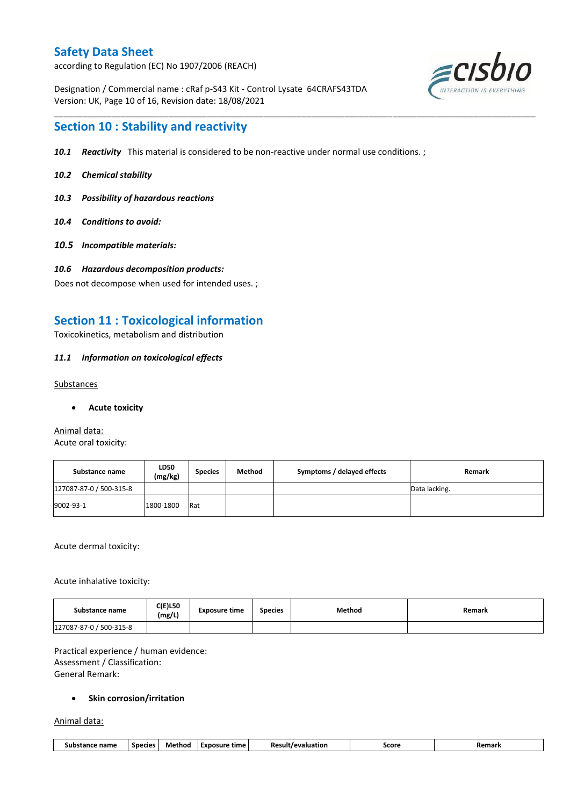according to Regulation (EC) No 1907/2006 (REACH)

Designation / Commercial name : cRaf p-S43 Kit - Control Lysate 64CRAFS43TDA Version: UK, Page 10 of 16, Revision date: 18/08/2021



## **Section 10 : Stability and reactivity**

*10.1 Reactivity* This material is considered to be non-reactive under normal use conditions. ;

\_\_\_\_\_\_\_\_\_\_\_\_\_\_\_\_\_\_\_\_\_\_\_\_\_\_\_\_\_\_\_\_\_\_\_\_\_\_\_\_\_\_\_\_\_\_\_\_\_\_\_\_\_\_\_\_\_\_\_\_\_\_\_\_\_\_\_\_\_\_\_\_\_\_\_\_\_\_\_\_\_\_\_\_\_\_\_\_\_\_\_\_\_\_\_\_\_\_\_\_\_

- *10.2 Chemical stability*
- *10.3 Possibility of hazardous reactions*
- *10.4 Conditions to avoid:*
- *10.5 Incompatible materials:*
- *10.6 Hazardous decomposition products:*

Does not decompose when used for intended uses. ;

## **Section 11 : Toxicological information**

Toxicokinetics, metabolism and distribution

#### *11.1 Information on toxicological effects*

#### Substances

**Acute toxicity**

#### Animal data: Acute oral toxicity:

| Substance name          | <b>LD50</b><br>(mg/kg) | <b>Species</b> | Method | Symptoms / delayed effects | Remark        |
|-------------------------|------------------------|----------------|--------|----------------------------|---------------|
| 127087-87-0 / 500-315-8 |                        |                |        |                            | Data lacking. |
| 9002-93-1               | 1800-1800              | Rat            |        |                            |               |

Acute dermal toxicity:

Acute inhalative toxicity:

| Substance name          | $C(E)$ L50<br>(mg/L) | <b>Exposure time</b> | <b>Species</b> | <b>Method</b> | Remark |
|-------------------------|----------------------|----------------------|----------------|---------------|--------|
| 127087-87-0 / 500-315-8 |                      |                      |                |               |        |

Practical experience / human evidence: Assessment / Classification: General Remark:

#### **•** Skin corrosion/irritation

Animal data:

| 11. .<br>Method<br>----<br>,,,,,,,,<br>Score<br><b>Species</b><br>time<br>-Re<br>nsure<br>sub:<br>-vn/<br>name<br>.cion<br>יוורש<br>ariidi s<br><br>- - - |
|-----------------------------------------------------------------------------------------------------------------------------------------------------------|
|-----------------------------------------------------------------------------------------------------------------------------------------------------------|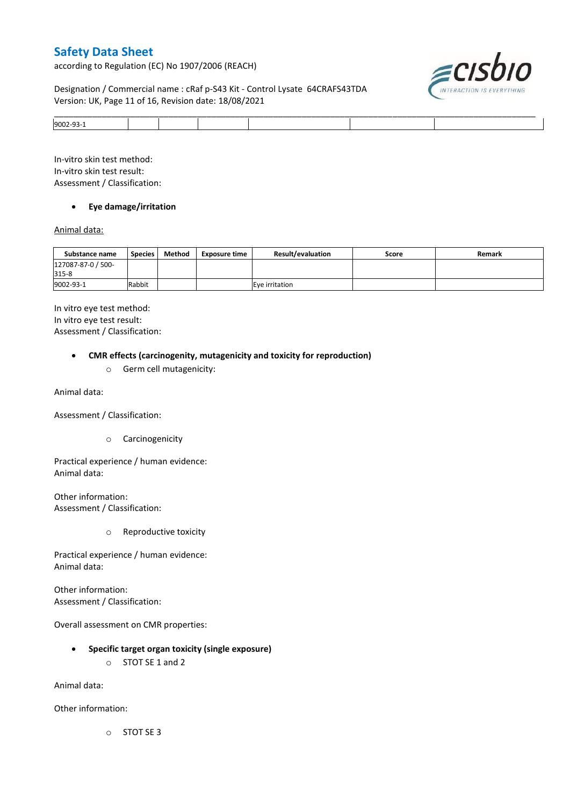according to Regulation (EC) No 1907/2006 (REACH)

#### Designation / Commercial name : cRaf p-S43 Kit - Control Lysate 64CRAFS43TDA Version: UK, Page 11 of 16, Revision date: 18/08/2021



|         | ____ |
|---------|------|
| 9002-93 |      |

In-vitro skin test method: In-vitro skin test result: Assessment / Classification:

#### **Eye damage/irritation**

#### Animal data:

| Substance name              | <b>Species</b> | Method | <b>Exposure time</b> | <b>Result/evaluation</b> | Score | Remark |
|-----------------------------|----------------|--------|----------------------|--------------------------|-------|--------|
| 127087-87-0 / 500-<br>315-8 |                |        |                      |                          |       |        |
| 9002-93-1                   | Rabbit         |        |                      | Eve irritation           |       |        |

In vitro eye test method: In vitro eye test result: Assessment / Classification:

#### **CMR effects (carcinogenity, mutagenicity and toxicity for reproduction)**

o Germ cell mutagenicity:

Animal data:

Assessment / Classification:

o Carcinogenicity

Practical experience / human evidence: Animal data:

Other information: Assessment / Classification:

o Reproductive toxicity

Practical experience / human evidence: Animal data:

Other information: Assessment / Classification:

Overall assessment on CMR properties:

- **Specific target organ toxicity (single exposure)**
	- o STOT SE 1 and 2

Animal data:

Other information:

o STOT SE 3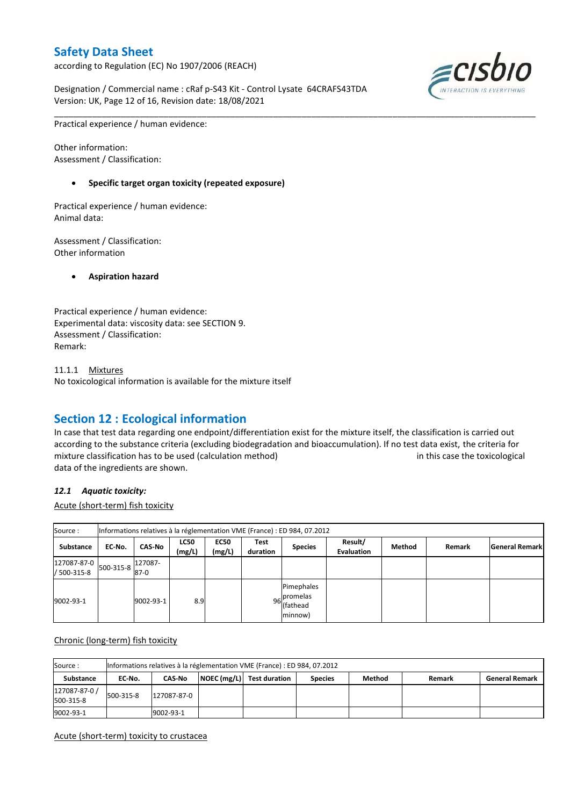according to Regulation (EC) No 1907/2006 (REACH)

Designation / Commercial name : cRaf p-S43 Kit - Control Lysate 64CRAFS43TDA Version: UK, Page 12 of 16, Revision date: 18/08/2021



Practical experience / human evidence:

Other information: Assessment / Classification:

#### **Specific target organ toxicity (repeated exposure)**

Practical experience / human evidence: Animal data:

Assessment / Classification: Other information

**Aspiration hazard**

Practical experience / human evidence: Experimental data: viscosity data: see SECTION 9. Assessment / Classification: Remark:

11.1.1 Mixtures No toxicological information is available for the mixture itself

## **Section 12 : Ecological information**

In case that test data regarding one endpoint/differentiation exist for the mixture itself, the classification is carried out according to the substance criteria (excluding biodegradation and bioaccumulation). If no test data exist, the criteria for mixture classification has to be used (calculation method) in this case the toxicological data of the ingredients are shown.

\_\_\_\_\_\_\_\_\_\_\_\_\_\_\_\_\_\_\_\_\_\_\_\_\_\_\_\_\_\_\_\_\_\_\_\_\_\_\_\_\_\_\_\_\_\_\_\_\_\_\_\_\_\_\_\_\_\_\_\_\_\_\_\_\_\_\_\_\_\_\_\_\_\_\_\_\_\_\_\_\_\_\_\_\_\_\_\_\_\_\_\_\_\_\_\_\_\_\_\_\_

#### *12.1 Aquatic toxicity:*

Acute (short-term) fish toxicity

| Source:                                          |        |                   |                       |                       |                  | Informations relatives à la réglementation VME (France) : ED 984, 07.2012 |                              |        |        |                       |
|--------------------------------------------------|--------|-------------------|-----------------------|-----------------------|------------------|---------------------------------------------------------------------------|------------------------------|--------|--------|-----------------------|
| Substance                                        | EC-No. | <b>CAS-No</b>     | <b>LC50</b><br>(mg/L) | <b>EC50</b><br>(mg/L) | Test<br>duration | <b>Species</b>                                                            | Result/<br><b>Evaluation</b> | Method | Remark | <b>General Remark</b> |
| $127087-87-0$ 500-315-8 $ ^{427}$<br>/ 500-315-8 |        | 127087-<br>$87-0$ |                       |                       |                  |                                                                           |                              |        |        |                       |
| 9002-93-1                                        |        | 9002-93-1         | 8.9                   |                       |                  | Pimephales<br>96 promelas<br>(fathead<br>minnow)                          |                              |        |        |                       |

#### Chronic (long-term) fish toxicity

| Source:                    |           | Informations relatives à la réglementation VME (France) : ED 984, 07.2012 |  |                           |                |               |        |                       |  |  |  |
|----------------------------|-----------|---------------------------------------------------------------------------|--|---------------------------|----------------|---------------|--------|-----------------------|--|--|--|
| Substance                  | EC No.    | <b>CAS-No</b>                                                             |  | NOEC (mg/L) Test duration | <b>Species</b> | <b>Method</b> | Remark | <b>General Remark</b> |  |  |  |
| 127087-87-0 /<br>500-315-8 | 500-315-8 | 127087-87-0                                                               |  |                           |                |               |        |                       |  |  |  |
| 9002-93-1                  |           | 9002-93-1                                                                 |  |                           |                |               |        |                       |  |  |  |

#### Acute (short-term) toxicity to crustacea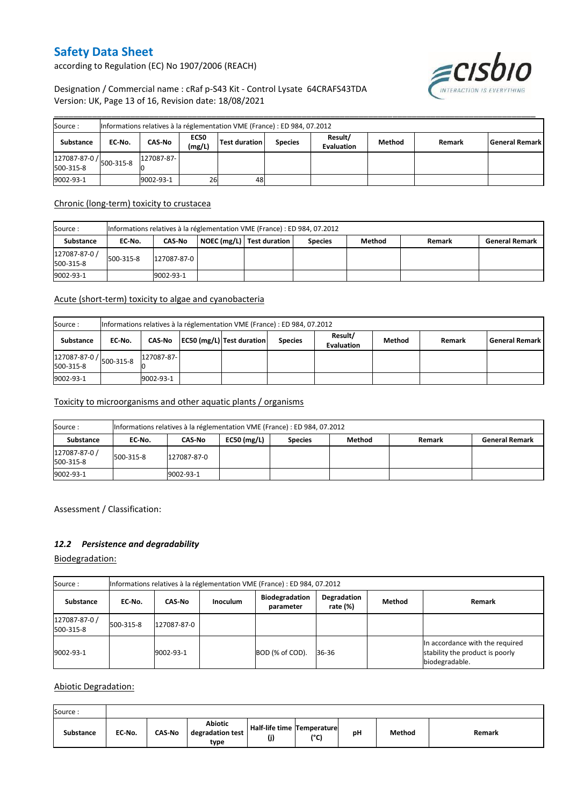according to Regulation (EC) No 1907/2006 (REACH)



#### Designation / Commercial name : cRaf p-S43 Kit - Control Lysate 64CRAFS43TDA Version: UK, Page 13 of 16, Revision date: 18/08/2021

| Source:                                                  |        |             |                       | Informations relatives à la réglementation VME (France) : ED 984, 07.2012 |                |                              |        |        |                       |
|----------------------------------------------------------|--------|-------------|-----------------------|---------------------------------------------------------------------------|----------------|------------------------------|--------|--------|-----------------------|
| Substance                                                | EC-No. | CAS-No      | <b>EC50</b><br>(mg/L) | <b>Test duration</b>                                                      | <b>Species</b> | Result/<br><b>Evaluation</b> | Method | Remark | <b>General Remark</b> |
| $127087-87-0$ / $500-315-8$ 1 <sup>12</sup><br>500-315-8 |        | 127087-87-1 |                       |                                                                           |                |                              |        |        |                       |
| 9002-93-1                                                |        | 9002-93-1   | 26                    | 48                                                                        |                |                              |        |        |                       |

#### Chronic (long-term) toxicity to crustacea

| Source :                   |           | Informations relatives à la réglementation VME (France) : ED 984, 07.2012 |  |                           |                |        |        |                       |  |  |  |
|----------------------------|-----------|---------------------------------------------------------------------------|--|---------------------------|----------------|--------|--------|-----------------------|--|--|--|
| Substance                  | EC-No.    | <b>CAS-No</b>                                                             |  | NOEC (mg/L) Test duration | <b>Species</b> | Method | Remark | <b>General Remark</b> |  |  |  |
| 127087-87-0 /<br>500-315-8 | 500-315-8 | 127087-87-0                                                               |  |                           |                |        |        |                       |  |  |  |
| 9002-93-1                  |           | 9002-93-1                                                                 |  |                           |                |        |        |                       |  |  |  |

#### Acute (short-term) toxicity to algae and cyanobacteria

| Source:                                    |        | Informations relatives à la réglementation VME (France) : ED 984, 07.2012 |  |                           |                |                              |        |        |                       |  |  |
|--------------------------------------------|--------|---------------------------------------------------------------------------|--|---------------------------|----------------|------------------------------|--------|--------|-----------------------|--|--|
| Substance                                  | EC No. | CAS-No                                                                    |  | EC50 (mg/L) Test duration | <b>Species</b> | Result/<br><b>Evaluation</b> | Method | Remark | <b>General Remark</b> |  |  |
| $127087 - 87 - 0$ / 500-315-8<br>500-315-8 |        | 127087-87-                                                                |  |                           |                |                              |        |        |                       |  |  |
| 9002-93-1                                  |        | 9002-93-1                                                                 |  |                           |                |                              |        |        |                       |  |  |

#### Toxicity to microorganisms and other aquatic plants / organisms

| Source:                    |           | Informations relatives à la réglementation VME (France) : ED 984, 07.2012 |               |                |        |               |                       |  |  |  |  |
|----------------------------|-----------|---------------------------------------------------------------------------|---------------|----------------|--------|---------------|-----------------------|--|--|--|--|
| <b>Substance</b>           | EC-No.    | CAS-No                                                                    | $EC50$ (mg/L) | <b>Species</b> | Method | <b>Remark</b> | <b>General Remark</b> |  |  |  |  |
| 127087-87-0 /<br>500-315-8 | 500-315-8 | 127087-87-0                                                               |               |                |        |               |                       |  |  |  |  |
| 9002-93-1                  |           | 9002-93-1                                                                 |               |                |        |               |                       |  |  |  |  |

Assessment / Classification:

#### *12.2 Persistence and degradability*

Biodegradation:

| Source:                    | Informations relatives à la réglementation VME (France) : ED 984, 07.2012 |               |                 |                                    |                            |        |                                                                                      |  |  |  |  |
|----------------------------|---------------------------------------------------------------------------|---------------|-----------------|------------------------------------|----------------------------|--------|--------------------------------------------------------------------------------------|--|--|--|--|
| Substance                  | EC No.                                                                    | <b>CAS-No</b> | <b>Inoculum</b> | <b>Biodegradation</b><br>parameter | Degradation<br>rate $(\%)$ | Method | Remark                                                                               |  |  |  |  |
| 127087-87-0 /<br>500-315-8 | 500-315-8                                                                 | 127087-87-0   |                 |                                    |                            |        |                                                                                      |  |  |  |  |
| 9002-93-1                  |                                                                           | 9002-93-1     |                 | BOD (% of COD).                    | 36-36                      |        | In accordance with the required<br>stability the product is poorly<br>biodegradable. |  |  |  |  |

Abiotic Degradation:

| Source:          |        |               |                                            |                                   |                 |    |        |        |
|------------------|--------|---------------|--------------------------------------------|-----------------------------------|-----------------|----|--------|--------|
| <b>Substance</b> | EC-No. | <b>CAS-No</b> | <b>Abiotic</b><br>degradation test<br>type | Half-life time Temperature<br>(j) | 10 <sub>0</sub> | рH | Method | Remark |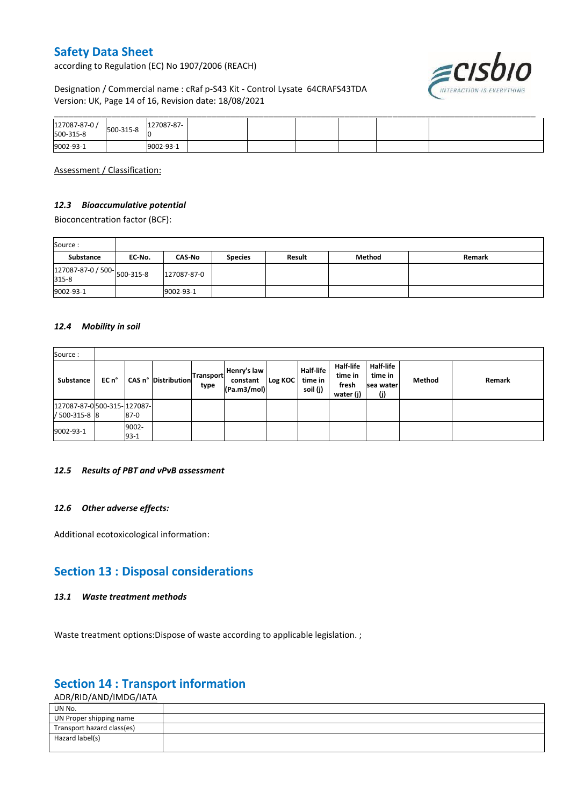according to Regulation (EC) No 1907/2006 (REACH)

# ≡cısbıo

#### Designation / Commercial name : cRaf p-S43 Kit - Control Lysate 64CRAFS43TDA Version: UK, Page 14 of 16, Revision date: 18/08/2021

| 127087-87-0 /<br>500-315-8 | 500-315-8 | 127087-87- |  |  |  |
|----------------------------|-----------|------------|--|--|--|
| 9002-93-1                  |           | 002-93-1   |  |  |  |

Assessment / Classification:

#### *12.3 Bioaccumulative potential*

Bioconcentration factor (BCF):

| Source:                              |        |               |                |               |        |        |
|--------------------------------------|--------|---------------|----------------|---------------|--------|--------|
| Substance                            | EC No. | <b>CAS-No</b> | <b>Species</b> | <b>Result</b> | Method | Remark |
| 127087-87-0 / 500-<br>015.8<br>315-8 |        | 127087-87-0   |                |               |        |        |
| 9002-93-1                            |        | 9002-93-1     |                |               |        |        |

#### *12.4 Mobility in soil*

| Source:                                     |       |                 |                     |                          |                                        |         |                                         |                                                   |                                                 |        |        |
|---------------------------------------------|-------|-----------------|---------------------|--------------------------|----------------------------------------|---------|-----------------------------------------|---------------------------------------------------|-------------------------------------------------|--------|--------|
| Substance                                   | EC n° |                 | CAS n° Distribution | <b>Transport</b><br>type | Henry's law<br>constant<br>(Pa.m3/mol) | Log KOC | <b>Half-life</b><br>time in<br>soil (j) | <b>Half-life</b><br>time in<br>fresh<br>water (j) | <b>Half-life</b><br>time in<br>sea water<br>(i) | Method | Remark |
| 127087-87-0500-315-127087-<br>/ 500-315-8 8 |       | $87-0$          |                     |                          |                                        |         |                                         |                                                   |                                                 |        |        |
| 9002-93-1                                   |       | 9002-<br>$93-1$ |                     |                          |                                        |         |                                         |                                                   |                                                 |        |        |

#### *12.5 Results of PBT and vPvB assessment*

#### *12.6 Other adverse effects:*

Additional ecotoxicological information:

## **Section 13 : Disposal considerations**

#### *13.1 Waste treatment methods*

Waste treatment options: Dispose of waste according to applicable legislation. ;

## **Section 14 : Transport information**

ADR/RID/AND/IMDG/IATA

| UN No.                     |  |
|----------------------------|--|
| UN Proper shipping name    |  |
| Transport hazard class(es) |  |
| Hazard label(s)            |  |
|                            |  |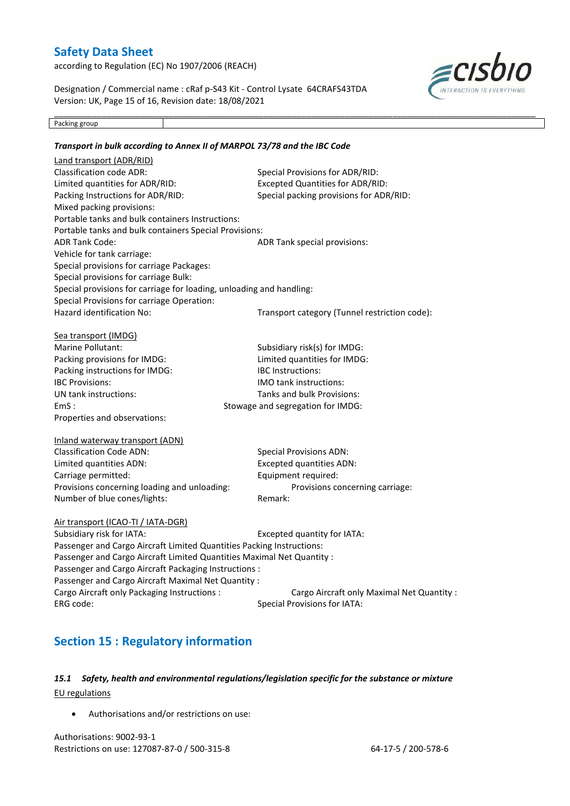according to Regulation (EC) No 1907/2006 (REACH)

Designation / Commercial name : cRaf p-S43 Kit - Control Lysate 64CRAFS43TDA Version: UK, Page 15 of 16, Revision date: 18/08/2021

\_\_\_\_\_\_\_\_\_\_\_\_\_\_\_\_\_\_\_\_\_\_\_\_\_\_\_\_\_\_\_\_\_\_\_\_\_\_\_\_\_\_\_\_\_\_\_\_\_\_\_\_\_\_\_\_\_\_\_\_\_\_\_\_\_\_\_\_\_\_\_\_\_\_\_\_\_\_\_\_\_\_\_\_\_\_\_\_\_\_\_\_\_\_\_\_\_\_\_\_\_



Packing group

#### *Transport in bulk according to Annex II of MARPOL 73/78 and the IBC Code* Land transport (ADR/RID) Classification code ADR: Special Provisions for ADR/RID: Limited quantities for ADR/RID: Excepted Quantities for ADR/RID: Packing Instructions for ADR/RID: Special packing provisions for ADR/RID: Mixed packing provisions: Portable tanks and bulk containers Instructions: Portable tanks and bulk containers Special Provisions: ADR Tank Code: ADR Tank special provisions: Vehicle for tank carriage: Special provisions for carriage Packages: Special provisions for carriage Bulk: Special provisions for carriage for loading, unloading and handling: Special Provisions for carriage Operation: Hazard identification No: Transport category (Tunnel restriction code): Sea transport (IMDG) Marine Pollutant: Subsidiary risk(s) for IMDG: Packing provisions for IMDG: Limited quantities for IMDG: Packing instructions for IMDG: IBC Instructions: IBC Provisions: IMO tank instructions: UN tank instructions: Tanks and bulk Provisions: EmS : Stowage and segregation for IMDG: Properties and observations: Inland waterway transport (ADN) Classification Code ADN: Special Provisions ADN: Limited quantities ADN: Excepted quantities ADN: Carriage permitted: Equipment required: Provisions concerning loading and unloading: Provisions concerning carriage: Number of blue cones/lights: Remark: Air transport (ICAO-TI / IATA-DGR) Subsidiary risk for IATA: Excepted quantity for IATA: Passenger and Cargo Aircraft Limited Quantities Packing Instructions: Passenger and Cargo Aircraft Limited Quantities Maximal Net Quantity : Passenger and Cargo Aircraft Packaging Instructions : Passenger and Cargo Aircraft Maximal Net Quantity : Cargo Aircraft only Packaging Instructions : Cargo Aircraft only Maximal Net Quantity : ERG code: Special Provisions for IATA:

## **Section 15 : Regulatory information**

#### *15.1 Safety, health and environmental regulations/legislation specific for the substance or mixture* EU regulations

Authorisations and/or restrictions on use:

Authorisations: 9002-93-1 Restrictions on use: 127087-87-0 / 500-315-8 64-17-5 / 200-578-6